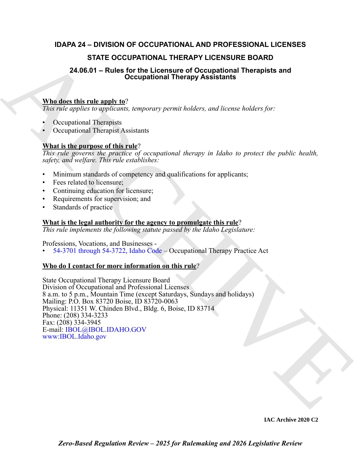### **IDAPA 24 – DIVISION OF OCCUPATIONAL AND PROFESSIONAL LICENSES**

### **STATE OCCUPATIONAL THERAPY LICENSURE BOARD**

# **24.06.01 – Rules for the Licensure of Occupational Therapists and Occupational Therapy Assistants**

### **Who does this rule apply to**?

*This rule applies to applicants, temporary permit holders, and license holders for:*

- Occupational Therapists
- Occupational Therapist Assistants

### **What is the purpose of this rule**?

*This rule governs the practice of occupational therapy in Idaho to protect the public health, safety, and welfare. This rule establishes:*

- Minimum standards of competency and qualifications for applicants;
- Fees related to licensure;
- Continuing education for licensure;
- Requirements for supervision; and
- Standards of practice

### **What is the legal authority for the agency to promulgate this rule**?

*This rule implements the following statute passed by the Idaho Legislature:*

Professions, Vocations, and Businesses -

• 54-3701 through 54-3722, Idaho Code – Occupational Therapy Practice Act

### **Who do I contact for more information on this rule**?

**STATE OCCUPATIONAL T[H](https://legislature.idaho.gov/statutesrules/idstat/Title54/T54CH37/)ERAPY LICENSITY IS and the sympatric SISTER BOARD<br>
24.06.01 – Rules for the Licensin of Occupational Therapists and<br>
Who does this rule angle to:<br>
The system property germa bulders, and its early for** State Occupational Therapy Licensure Board Division of Occupational and Professional Licenses 8 a.m. to 5 p.m., Mountain Time (except Saturdays, Sundays and holidays) Mailing: P.O. Box 83720 Boise, ID 83720-0063 Physical: 11351 W. Chinden Blvd., Bldg. 6, Boise, ID 83714 Phone: (208) 334-3233 Fax: (208) 334-3945 E-mail: IBOL@IBOL.IDAHO.GOV www:IBOL.Idaho.gov

**IAC Archive 2020 C2**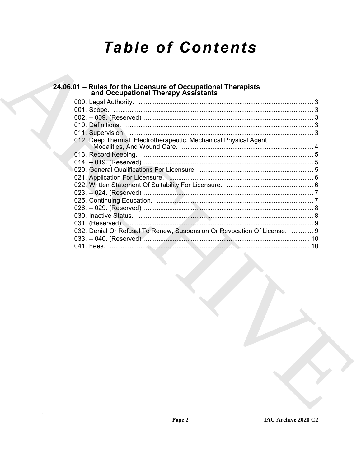# **Table of Contents**

# 24.06.01 - Rules for the Licensure of Occupational Therapists<br>and Occupational Therapy Assistants

| 012. Deep Thermal, Electrotherapeutic, Mechanical Physical Agent         |  |
|--------------------------------------------------------------------------|--|
|                                                                          |  |
|                                                                          |  |
|                                                                          |  |
|                                                                          |  |
|                                                                          |  |
|                                                                          |  |
|                                                                          |  |
|                                                                          |  |
|                                                                          |  |
|                                                                          |  |
|                                                                          |  |
| 032. Denial Or Refusal To Renew, Suspension Or Revocation Of License.  9 |  |
|                                                                          |  |
|                                                                          |  |
|                                                                          |  |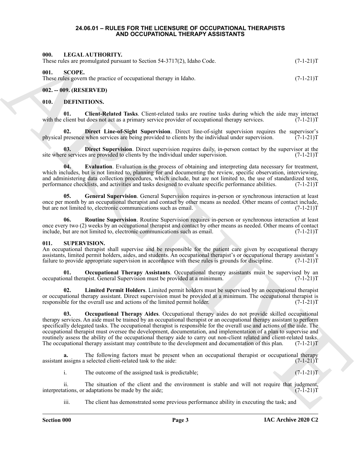### **24.06.01 – RULES FOR THE LICENSURE OF OCCUPATIONAL THERAPISTS AND OCCUPATIONAL THERAPY ASSISTANTS**

### <span id="page-2-13"></span><span id="page-2-1"></span><span id="page-2-0"></span>**000. LEGAL AUTHORITY.**

<span id="page-2-14"></span>

| . |  |  |                                                                         |             |
|---|--|--|-------------------------------------------------------------------------|-------------|
|   |  |  | These rules are promulgated pursuant to Section 54-3717(2), Idaho Code. | $(7-1-21)T$ |

### <span id="page-2-2"></span>**001. SCOPE.**

These rules govern the practice of occupational therapy in Idaho.  $(7-1-21)$ T

### <span id="page-2-3"></span>**002. -- 009. (RESERVED)**

### <span id="page-2-6"></span><span id="page-2-4"></span>**010. DEFINITIONS.**

<span id="page-2-7"></span>**01.** Client-Related Tasks. Client-related tasks are routine tasks during which the aide may interact client but does not act as a primary service provider of occupational therapy services. (7-1-21) with the client but does not act as a primary service provider of occupational therapy services.

<span id="page-2-8"></span>**02. Direct Line-of-Sight Supervision**. Direct line-of-sight supervision requires the supervisor's physical presence when services are being provided to clients by the individual under supervision. (7-1-21)T

<span id="page-2-9"></span>**03. Direct Supervision**. Direct supervision requires daily, in-person contact by the supervisor at the re services are provided to clients by the individual under supervision. (7-1-21) site where services are provided to clients by the individual under supervision.

<span id="page-2-10"></span>**04. Evaluation**. Evaluation is the process of obtaining and interpreting data necessary for treatment, which includes, but is not limited to, planning for and documenting the review, specific observation, interviewing, and administering data collection procedures, which include, but are not limited to, the use of standardized tests, performance checklists, and activities and tasks designed to evaluate specific performance abilities. (7-1-21)T

<span id="page-2-11"></span>**05. General Supervision**. General Supervision requires in-person or synchronous interaction at least once per month by an occupational therapist and contact by other means as needed. Other means of contact include, but are not limited to, electronic communications such as email. (7-1-21) T

<span id="page-2-12"></span>**06. Routine Supervision**. Routine Supervision requires in-person or synchronous interaction at least once every two (2) weeks by an occupational therapist and contact by other means as needed. Other means of contact include, but are not limited to, electronic communications such as email. (7-1-21)T

### <span id="page-2-15"></span><span id="page-2-5"></span>**011. SUPERVISION.**

An occupational therapist shall supervise and be responsible for the patient care given by occupational therapy assistants, limited permit holders, aides, and students. An occupational therapist's or occupational therapy assistant's failure to provide appropriate supervision in accordance with these rules is grounds for discipline. failure to provide appropriate supervision in accordance with these rules is grounds for discipline.

<span id="page-2-18"></span>**Occupational Therapy Assistants**. Occupational therapy assistants must be supervised by an occupational therapist. General Supervision must be provided at a minimum. (7-1-21)T

<span id="page-2-17"></span><span id="page-2-16"></span>**02. Limited Permit Holders**. Limited permit holders must be supervised by an occupational therapist or occupational therapy assistant. Direct supervision must be provided at a minimum. The occupational therapist is responsible for the overall use and actions of the limited permit holder. (7-1-21)T

601. In EGA. CALIFORNEY CONTROLLER SA-VIYA), Idaha Cada.<br>
This calc properties are computed in the same of the same of the same of the same of the same of the same of the same of the same of the same of the same of the sa **03. Occupational Therapy Aides**. Occupational therapy aides do not provide skilled occupational therapy services. An aide must be trained by an occupational therapist or an occupational therapy assistant to perform specifically delegated tasks. The occupational therapist is responsible for the overall use and actions of the aide. The occupational therapist must oversee the development, documentation, and implementation of a plan to supervise and routinely assess the ability of the occupational therapy aide to carry out non-client related and client-related tasks. The occupational therapy assistant may contribute to the development and documentation of this plan. (7-1-21)T

**a.** The following factors must be present when an occupational therapist or occupational therapy assigns a selected client-related task to the aide:  $(7-1-21)$ assistant assigns a selected client-related task to the aide:

i. The outcome of the assigned task is predictable;  $(7-1-21)T$ 

ii. The situation of the client and the environment is stable and will not require that judgment, ations, or adaptations be made by the aide;  $(7-1-21)$ interpretations, or adaptations be made by the aide;

iii. The client has demonstrated some previous performance ability in executing the task; and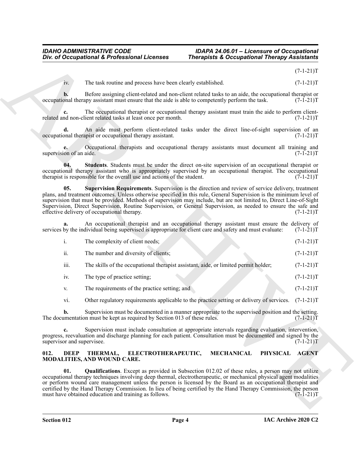### <span id="page-3-4"></span><span id="page-3-3"></span>*IDAHO ADMINISTRATIVE CODE IDAPA 24.06.01 – Licensure of Occupational* **Therapists & Occupational Therapy Assistants**

|                                  | Div. of Occupational & Professional Licenses                                                                                                                                                                                                                                                                                                                                                                                                                                                                               | <b>Therapists &amp; Occupational Therapy Assistants</b> |                |
|----------------------------------|----------------------------------------------------------------------------------------------------------------------------------------------------------------------------------------------------------------------------------------------------------------------------------------------------------------------------------------------------------------------------------------------------------------------------------------------------------------------------------------------------------------------------|---------------------------------------------------------|----------------|
|                                  |                                                                                                                                                                                                                                                                                                                                                                                                                                                                                                                            |                                                         | $(7-1-21)T$    |
| iv.                              | The task routine and process have been clearly established.                                                                                                                                                                                                                                                                                                                                                                                                                                                                |                                                         | $(7-1-21)T$    |
| b.                               | Before assigning client-related and non-client related tasks to an aide, the occupational therapist or<br>occupational therapy assistant must ensure that the aide is able to competently perform the task.                                                                                                                                                                                                                                                                                                                |                                                         | $(7-1-21)T$    |
|                                  | The occupational therapist or occupational therapy assistant must train the aide to perform client-<br>related and non-client related tasks at least once per month.                                                                                                                                                                                                                                                                                                                                                       |                                                         | $(7-1-21)T$    |
| d.                               | An aide must perform client-related tasks under the direct line-of-sight supervision of an<br>occupational therapist or occupational therapy assistant.                                                                                                                                                                                                                                                                                                                                                                    |                                                         | $(7-1-21)T$    |
| supervision of an aide.          | Occupational therapists and occupational therapy assistants must document all training and                                                                                                                                                                                                                                                                                                                                                                                                                                 |                                                         | $(7-1-21)T$    |
| 04.                              | Students. Students must be under the direct on-site supervision of an occupational therapist or<br>occupational therapy assistant who is appropriately supervised by an occupational therapist. The occupational<br>therapist is responsible for the overall use and actions of the student.                                                                                                                                                                                                                               |                                                         | $(7-1-21)T$    |
| 05.                              | Supervision Requirements. Supervision is the direction and review of service delivery, treatment<br>plans, and treatment outcomes. Unless otherwise specified in this rule, General Supervision is the minimum level of<br>supervision that must be provided. Methods of supervision may include, but are not limited to, Direct Line-of-Sight<br>Supervision, Direct Supervision, Routine Supervision, or General Supervision, as needed to ensure the safe and<br>effective delivery of occupational therapy.            |                                                         | $(7-1-21)T$    |
| a.                               | An occupational therapist and an occupational therapy assistant must ensure the delivery of<br>services by the individual being supervised is appropriate for client care and safety and must evaluate:                                                                                                                                                                                                                                                                                                                    |                                                         | $(7-1-21)T$    |
| $\mathbf{i}$ .                   | The complexity of client needs;                                                                                                                                                                                                                                                                                                                                                                                                                                                                                            |                                                         | $(7-1-21)T$    |
| ii.                              | The number and diversity of clients;                                                                                                                                                                                                                                                                                                                                                                                                                                                                                       |                                                         | $(7-1-21)T$    |
| iii.                             | The skills of the occupational therapist assistant, aide, or limited permit holder;                                                                                                                                                                                                                                                                                                                                                                                                                                        |                                                         | $(7-1-21)T$    |
| iv.                              | The type of practice setting;                                                                                                                                                                                                                                                                                                                                                                                                                                                                                              |                                                         | $(7-1-21)T$    |
| V.                               | The requirements of the practice setting; and                                                                                                                                                                                                                                                                                                                                                                                                                                                                              |                                                         | $(7-1-21)T$    |
| vi.                              | Other regulatory requirements applicable to the practice setting or delivery of services. (7-1-21)T                                                                                                                                                                                                                                                                                                                                                                                                                        |                                                         |                |
| b.                               | Supervision must be documented in a manner appropriate to the supervised position and the setting.<br>The documentation must be kept as required by Section 013 of these rules.                                                                                                                                                                                                                                                                                                                                            |                                                         | $(7-1-21)T$    |
| c.<br>supervisor and supervisee. | Supervision must include consultation at appropriate intervals regarding evaluation, intervention,<br>progress, reevaluation and discharge planning for each patient. Consultation must be documented and signed by the                                                                                                                                                                                                                                                                                                    |                                                         | $(7-1-21)T$    |
| 012.                             | ELECTROTHERAPEUTIC,<br>DEEP THERMAL,<br>MODALITIES, AND WOUND CARE.                                                                                                                                                                                                                                                                                                                                                                                                                                                        | <b>MECHANICAL</b>                                       | PHYSICAL AGENT |
| 01.                              | <b>Qualifications.</b> Except as provided in Subsection 012.02 of these rules, a person may not utilize<br>occupational therapy techniques involving deep thermal, electrotherapeutic, or mechanical physical agent modalities<br>or perform wound care management unless the person is licensed by the Board as an occupational therapist and<br>certified by the Hand Therapy Commission. In lieu of being certified by the Hand Therapy Commission, the person<br>must have obtained education and training as follows. |                                                         | $(7-1-21)T$    |
|                                  |                                                                                                                                                                                                                                                                                                                                                                                                                                                                                                                            |                                                         |                |

### <span id="page-3-2"></span><span id="page-3-1"></span><span id="page-3-0"></span>**012. DEEP THERMAL, ELECTROTHERAPEUTIC, MECHANICAL PHYSICAL AGENT MODALITIES, AND WOUND CARE.**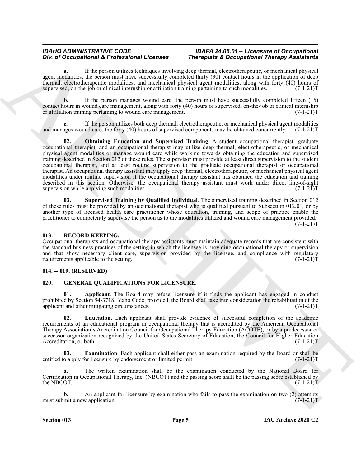### *IDAHO ADMINISTRATIVE CODE IDAPA 24.06.01 – Licensure of Occupational* **Therapists & Occupational Therapy Assistants**

**a.** If the person utilizes techniques involving deep thermal, electrotherapeutic, or mechanical physical agent modalities, the person must have successfully completed thirty (30) contact hours in the application of deep thermal, electrotherapeutic modalities, and mechanical physical agent modalities, along with forty (40) hours of supervised, on-the-job or clinical internship or affiliation training pertaining to such modalities.  $(7-1-21)$ T

**b.** If the person manages wound care, the person must have successfully completed fifteen (15) contact hours in wound care management, along with forty (40) hours of supervised, on-the-job or clinical internship or affiliation training pertaining to wound care management.  $(7-1-21)T$ 

<span id="page-4-3"></span>**c.** If the person utilizes both deep thermal, electrotherapeutic, or mechanical physical agent modalities and manages wound care, the forty (40) hours of supervised components may be obtained concurrently. (7-1-21)T

One of Occupation is foreign the terms of the properties. The properties of Occupations in the properties of the system of the system of the system of the system of the system of the system of the system of the system of **Obtaining Education and Supervised Training.** A student occupational therapist, graduate occupational therapist, and an occupational therapist may utilize deep thermal, electrotherapeutic, or mechanical physical agent modalities or manage wound care while working towards obtaining the education and supervised training described in Section 012 of these rules. The supervisor must provide at least direct supervision to the student occupational therapist, and at least routine supervision to the graduate occupational therapist or occupational therapist. An occupational therapy assistant may apply deep thermal, electrotherapeutic, or mechanical physical agent modalities under routine supervision if the occupational therapy assistant has obtained the education and training described in this section. Otherwise, the occupational therapy assistant must work under direct line-of-sight supervision while applying such modalities. (7-1-21)T

<span id="page-4-4"></span>**03. Supervised Training by Qualified Individual**. The supervised training described in Section 012 of these rules must be provided by an occupational therapist who is qualified pursuant to Subsection 012.01, or by another type of licensed health care practitioner whose education, training, and scope of practice enable the practitioner to competently supervise the person as to the modalities utilized and wound care management provided.  $(7-1-21)T$ 

### <span id="page-4-9"></span><span id="page-4-0"></span>**013. RECORD KEEPING.**

Occupational therapists and occupational therapy assistants must maintain adequate records that are consistent with the standard business practices of the setting in which the licensee is providing occupational therapy or supervision and that show necessary client care, supervision provided by the licensee, and compliance with regulatory requirements applicable to the setting.  $(7-1-21)$ requirements applicable to the setting.

### <span id="page-4-1"></span>**014. -- 019. (RESERVED)**

### <span id="page-4-5"></span><span id="page-4-2"></span>**020. GENERAL QUALIFICATIONS FOR LICENSURE.**

<span id="page-4-6"></span>**01. Applicant**. The Board may refuse licensure if it finds the applicant has engaged in conduct prohibited by Section 54-3718, Idaho Code; provided, the Board shall take into consideration the rehabilitation of the applicant and other mitigating circumstances. (7-1-21)T

<span id="page-4-7"></span>**02. Education**. Each applicant shall provide evidence of successful completion of the academic requirements of an educational program in occupational therapy that is accredited by the American Occupational Therapy Association's Accreditation Council for Occupational Therapy Education (ACOTE), or by a predecessor or successor organization recognized by the United States Secretary of Education, the Council for Higher Education Accreditation, or both. (7-1-21)T

<span id="page-4-8"></span>**03. Examination**. Each applicant shall either pass an examination required by the Board or shall be o apply for licensure by endorsement or limited permit. (7-1-21) entitled to apply for licensure by endorsement or limited permit.

**a.** The written examination shall be the examination conducted by the National Board for Certification in Occupational Therapy, Inc. (NBCOT) and the passing score shall be the passing score established by the NBCOT.  $(7-1-21)T$ 

**b.** An applicant for licensure by examination who fails to pass the examination on two (2) attempts mit a new application. (7-1-21)T must submit a new application.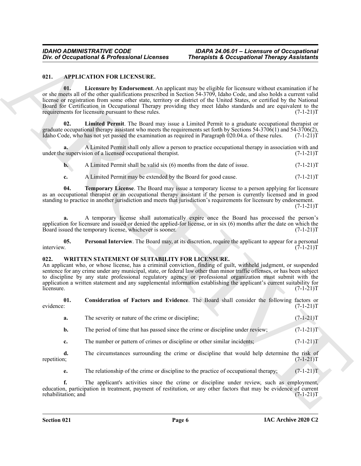### <span id="page-5-3"></span><span id="page-5-2"></span><span id="page-5-0"></span>**021. APPLICATION FOR LICENSURE.**

One of Occupational K. Professional Licenses<br>
19. Alexander Metapolis K. Occupational Theoretic Resources<br>
19. A. License of Resolution and Scheme and Action Consider Scheme and Scheme and Scheme and Scheme and Scheme and **01. Licensure by Endorsement**. An applicant may be eligible for licensure without examination if he or she meets all of the other qualifications prescribed in Section 54-3709, Idaho Code, and also holds a current valid license or registration from some other state, territory or district of the United States, or certified by the National Board for Certification in Occupational Therapy providing they meet Idaho standards and are equivalent to the requirements for licensure pursuant to these rules. (7-1-21)T

<span id="page-5-4"></span>**02. Limited Permit**. The Board may issue a Limited Permit to a graduate occupational therapist or graduate occupational therapy assistant who meets the requirements set forth by Sections 54-3706(1) and 54-3706(2), Idaho Code, who has not yet passed the examination as required in Paragraph 020.04.a. of these rules. (7-1-21)T

**a.** A Limited Permit shall only allow a person to practice occupational therapy in association with and under the supervision of a licensed occupational therapist. (7-1-21)T

**b.** A Limited Permit shall be valid six (6) months from the date of issue. (7-1-21)T

<span id="page-5-6"></span>**c.** A Limited Permit may be extended by the Board for good cause. (7-1-21)T

**04. Temporary License**. The Board may issue a temporary license to a person applying for licensure as an occupational therapist or an occupational therapy assistant if the person is currently licensed and in good standing to practice in another jurisdiction and meets that jurisdiction's requirements for licensure by endorsement.

 $(7-1-21)T$ 

**a.** A temporary license shall automatically expire once the Board has processed the person's application for licensure and issued or denied the applied-for license, or in six  $(6)$  months after the date on which the Board issued the temporary license, whichever is sooner.  $(7-1-21)$ Board issued the temporary license, whichever is sooner.

<span id="page-5-5"></span>**05.** Personal Interview. The Board may, at its discretion, require the applicant to appear for a personal interview.  $(7-1-21)T$ interview. (7-1-21)T

### <span id="page-5-7"></span><span id="page-5-1"></span>**022. WRITTEN STATEMENT OF SUITABILITY FOR LICENSURE.**

An applicant who, or whose license, has a criminal conviction, finding of guilt, withheld judgment, or suspended sentence for any crime under any municipal, state, or federal law other than minor traffic offenses, or has been subject to discipline by any state professional regulatory agency or professional organization must submit with the application a written statement and any supplemental information establishing the applicant's current suitability for licensure.  $(7-1-21)T$ 

**01.** Consideration of Factors and Evidence. The Board shall consider the following factors or evidence:  $(7-1-21)T$ evidence: (7-1-21)T

<span id="page-5-8"></span>

| The severity or nature of the crime or discipline;                             | $(7-1-21)T$ |
|--------------------------------------------------------------------------------|-------------|
| The period of time that has passed since the crime or discipline under review; | $(7-1-21)T$ |
|                                                                                |             |

**c.** The number or pattern of crimes or discipline or other similar incidents; (7-1-21)

**d.** The circumstances surrounding the crime or discipline that would help determine the risk of repetition;  $(7-1-21)T$ repetition; (7-1-21)T

**e.** The relationship of the crime or discipline to the practice of occupational therapy; (7-1-21) T

**f.** The applicant's activities since the crime or discipline under review, such as employment, education, participation in treatment, payment of restitution, or any other factors that may be evidence of current rehabilitation; and (7-1-21)T rehabilitation; and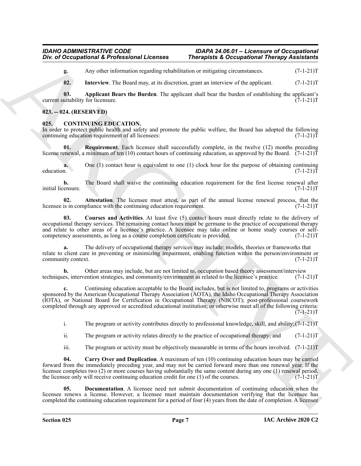## *IDAHO ADMINISTRATIVE CODE IDAPA 24.06.01 – Licensure of Occupational*

## **Therapists & Occupational Therapy Assistants**

**g.** Any other information regarding rehabilitation or mitigating circumstances. (7-1-21)T

<span id="page-6-9"></span><span id="page-6-8"></span>**02.** Interview. The Board may, at its discretion, grant an interview of the applicant. (7-1-21)T

**03.** Applicant Bears the Burden. The applicant shall bear the burden of establishing the applicant's uitability for licensure. (7-1-21)T current suitability for licensure.

### <span id="page-6-0"></span>**023. -- 024. (RESERVED)**

### <span id="page-6-2"></span><span id="page-6-1"></span>**CONTINUING EDUCATION.**

In order to protect public health and safety and promote the public welfare, the Board has adopted the following continuing education requirement of all licensees:  $(7-1-21)$ continuing education requirement of all licensees:

<span id="page-6-7"></span>**Requirement**. Each licensee shall successfully complete, in the twelve (12) months preceding license renewal, a minimum of ten (10) contact hours of continuing education, as approved by the Board. (7-1-21)T

**a.** One (1) contact hour is equivalent to one (1) clock hour for the purpose of obtaining continuing education.  $(7-1-21)T$ education. (7-1-21)T

**b.** The Board shall waive the continuing education requirement for the first license renewal after ensure. (7-1-21) initial licensure.

<span id="page-6-3"></span>**02. Attestation**. The licensee must attest, as part of the annual license renewal process, that the is in compliance with the continuing education requirement. (7-1-21) licensee is in compliance with the continuing education requirement.

<span id="page-6-5"></span>**03. Courses and Activities**. At least five (5) contact hours must directly relate to the delivery of occupational therapy services. The remaining contact hours must be germane to the practice of occupational therapy and relate to other areas of a licensee's practice. A licensee may take online or home study courses or self-<br>competency assessments, as long as a course completion certificate is provided.  $(7-1-21)T$ competency assessments, as long as a course completion certificate is provided.

The delivery of occupational therapy services may include: models, theories or frameworks that relate to client care in preventing or minimizing impairment, enabling function within the person/environment or<br>
(7-1-21)T community context.

**b.** Other areas may include, but are not limited to, occupation based theory assessment/interview techniques, intervention strategies, and community/environment as related to the licensee's practice. (7-1-21)T

One of Occupational K. Professional Licences Theosphate X. Occupational Theosphate X. (1991)<br>
ARCHIVES THE INTERNATIONAL CONTINUES INTO A THEORETIC CONTINUES IN A CONTINUES IN A CONTINUES IN A CONTINUES IN A CONTINUES IN **c.** Continuing education acceptable to the Board includes, but is not limited to, programs or activities sponsored by the American Occupational Therapy Association (AOTA), the Idaho Occupational Therapy Association (IOTA), or National Board for Certification in Occupational Therapy (NBCOT); post-professional coursework completed through any approved or accredited educational institution; or otherwise meet all of the following criteria:  $(7-1-21)T$ 

i. The program or activity contributes directly to professional knowledge, skill, and ability;(7-1-21)T

ii. The program or activity relates directly to the practice of occupational therapy; and  $(7-1-21)$ T

<span id="page-6-6"></span><span id="page-6-4"></span>iii. The program or activity must be objectively measurable in terms of the hours involved.  $(7-1-21)$ T

**04. Carry Over and Duplication**. A maximum of ten (10) continuing education hours may be carried forward from the immediately preceding year, and may not be carried forward more than one renewal year. If the licensee completes two (2) or more courses having substantially the same content during any one (1) renewal period, the licensee only will receive continuing education credit for one (1) of the courses. (7-1-21)T

**05. Documentation**. A licensee need not submit documentation of continuing education when the licensee renews a license. However, a licensee must maintain documentation verifying that the licensee has completed the continuing education requirement for a period of four (4) years from the date of completion. A licensee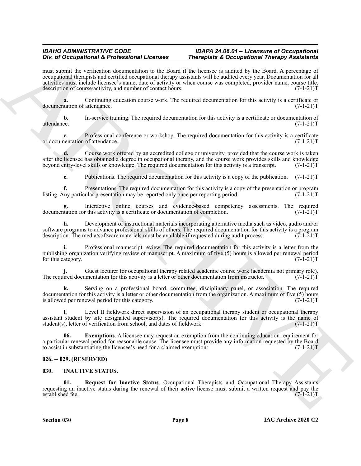### *IDAHO ADMINISTRATIVE CODE IDAPA 24.06.01 – Licensure of Occupational* **Therapists & Occupational Therapy Assistants**

For differentiation of E-Points and Architects and Theoretics and Occupation Theoretics and Construction of the state of the state of the state of the state of the state of the state of the state of the state of the state must submit the verification documentation to the Board if the licensee is audited by the Board. A percentage of occupational therapists and certified occupational therapy assistants will be audited every year. Documentation for all activities must include licensee's name, date of activity or when course was completed, provider name, course title, description of course/activity, and number of contact hours. (7-1-21)T

**a.** Continuing education course work. The required documentation for this activity is a certificate or tation of attendance. (7-1-21)T documentation of attendance.

**b.** In-service training. The required documentation for this activity is a certificate or documentation of attendance. (7-1-21)T

**c.** Professional conference or workshop. The required documentation for this activity is a certificate nentation of attendance. (7-1-21)T or documentation of attendance.

**d.** Course work offered by an accredited college or university, provided that the course work is taken after the licensee has obtained a degree in occupational therapy, and the course work provides skills and knowledge<br>beyond entry-level skills or knowledge. The required documentation for this activity is a transcript. (7-1 beyond entry-level skills or knowledge. The required documentation for this activity is a transcript.

**e.** Publications. The required documentation for this activity is a copy of the publication. (7-1-21)T

**f.** Presentations. The required documentation for this activity is a copy of the presentation or program ny particular presentation may be reported only once per reporting period. (7-1-21) listing. Any particular presentation may be reported only once per reporting period.

Interactive online courses and evidence-based competency assessments. The required r this activity is a certificate or documentation of completion. (7-1-21)<sup>T</sup> documentation for this activity is a certificate or documentation of completion.

**h.** Development of instructional materials incorporating alternative media such as video, audio and/or software programs to advance professional skills of others. The required documentation for this activity is a program description. The media/software materials must be available if requested during audit process.  $(7-1-21)$ T

**i.** Professional manuscript review. The required documentation for this activity is a letter from the publishing organization verifying review of manuscript. A maximum of five (5) hours is allowed per renewal period<br>(7-1-21)T for this category.

Guest lecturer for occupational therapy related academic course work (academia not primary role).<br>Imentation for this activity is a letter or other documentation from instructor. (7-1-21)T The required documentation for this activity is a letter or other documentation from instructor.

**k.** Serving on a professional board, committee, disciplinary panel, or association. The required documentation for this activity is a letter or other documentation from the organization. A maximum of five (5) hours is allowed per renewal period for this category.  $(7-1-21)$ is allowed per renewal period for this category.

**l.** Level II fieldwork direct supervision of an occupational therapy student or occupational therapy assistant student by site designated supervisor(s). The required documentation for this activity is the name of student(s), letter of verification from school, and dates of fieldwork. (7-1-21) student(s), letter of verification from school, and dates of fieldwork.

<span id="page-7-2"></span>**06. Exemptions**. A licensee may request an exemption from the continuing education requirement for a particular renewal period for reasonable cause. The licensee must provide any information requested by the Board to assist in substantiating the licensee's need for a claimed exemption:  $(7-1-21)T$ 

### <span id="page-7-0"></span>**026. -- 029. (RESERVED)**

### <span id="page-7-3"></span><span id="page-7-1"></span>**030. INACTIVE STATUS.**

<span id="page-7-4"></span>**01. Request for Inactive Status**. Occupational Therapists and Occupational Therapy Assistants requesting an inactive status during the renewal of their active license must submit a written request and pay the established fee. (7-1-21)T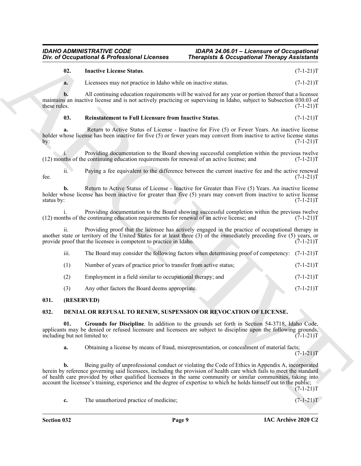## **Therapists & Occupational Therapy Assistants**

<span id="page-8-5"></span><span id="page-8-4"></span>

|                                      | Div. of Occupational & Professional Licenses                                                                   | <b>Therapists &amp; Occupational Therapy Assistants</b>                                                                                                                                                                         |             |
|--------------------------------------|----------------------------------------------------------------------------------------------------------------|---------------------------------------------------------------------------------------------------------------------------------------------------------------------------------------------------------------------------------|-------------|
| 02.                                  | <b>Inactive License Status.</b>                                                                                |                                                                                                                                                                                                                                 | $(7-1-21)T$ |
| a.                                   | Licensees may not practice in Idaho while on inactive status.                                                  |                                                                                                                                                                                                                                 | $(7-1-21)T$ |
| b.<br>these rules.                   |                                                                                                                | All continuing education requirements will be waived for any year or portion thereof that a licensee<br>maintains an inactive license and is not actively practicing or supervising in Idaho, subject to Subsection 030.03 of   | $(7-1-21)T$ |
| 03.                                  | <b>Reinstatement to Full Licensure from Inactive Status.</b>                                                   |                                                                                                                                                                                                                                 | $(7-1-21)T$ |
| a.<br>by:                            |                                                                                                                | Return to Active Status of License - Inactive for Five (5) or Fewer Years. An inactive license<br>holder whose license has been inactive for five (5) or fewer years may convert from inactive to active license status         | $(7-1-21)T$ |
|                                      | (12) months of the continuing education requirements for renewal of an active license; and                     | Providing documentation to the Board showing successful completion within the previous twelve                                                                                                                                   | $(7-1-21)T$ |
| ii.<br>fee.                          |                                                                                                                | Paying a fee equivalent to the difference between the current inactive fee and the active renewal                                                                                                                               | $(7-1-21)T$ |
| b.<br>status by:                     |                                                                                                                | Return to Active Status of License - Inactive for Greater than Five (5) Years. An inactive license<br>holder whose license has been inactive for greater than five (5) years may convert from inactive to active license        | $(7-1-21)T$ |
|                                      | (12) months of the continuing education requirements for renewal of an active license; and                     | Providing documentation to the Board showing successful completion within the previous twelve                                                                                                                                   | $(7-1-21)T$ |
| $\overline{\mathbf{11}}$ .           | provide proof that the licensee is competent to practice in Idaho.                                             | Providing proof that the licensee has actively engaged in the practice of occupational therapy in<br>another state or territory of the United States for at least three $(3)$ of the immediately preceding five $(5)$ years, or | $(7-1-21)T$ |
| iii.                                 |                                                                                                                | The Board may consider the following factors when determining proof of competency: (7-1-21)T                                                                                                                                    |             |
| (1)                                  | Number of years of practice prior to transfer from active status;                                              |                                                                                                                                                                                                                                 | $(7-1-21)T$ |
| (2)                                  | Employment in a field similar to occupational therapy; and                                                     |                                                                                                                                                                                                                                 | $(7-1-21)T$ |
| (3)                                  | Any other factors the Board deems appropriate.                                                                 |                                                                                                                                                                                                                                 | $(7-1-21)T$ |
| 031.                                 | (RESERVED)                                                                                                     |                                                                                                                                                                                                                                 |             |
| 032.                                 |                                                                                                                | DENIAL OR REFUSAL TO RENEW, SUSPENSION OR REVOCATION OF LICENSE.                                                                                                                                                                |             |
| 01.<br>including but not limited to: |                                                                                                                | Grounds for Discipline. In addition to the grounds set forth in Section 54-3718, Idaho Code,<br>applicants may be denied or refused licensure and licensees are subject to discipline upon the following grounds,               | $(7-1-21)T$ |
| a.                                   |                                                                                                                | Obtaining a license by means of fraud, misrepresentation, or concealment of material facts;                                                                                                                                     | $(7-1-21)T$ |
| b.                                   |                                                                                                                | Being guilty of unprofessional conduct or violating the Code of Ethics in Appendix A, incorporated<br>herein by reference governing said licensees, including the provision of health care which fails to meet the standard     |             |
|                                      | of health care provided by other qualified licensees in the same community or similar communities, taking into | account the licensee's training, experience and the degree of expertise to which he holds himself out to the public;                                                                                                            | $(7-1-21)T$ |

### <span id="page-8-0"></span>**031. (RESERVED)**

### <span id="page-8-3"></span><span id="page-8-2"></span><span id="page-8-1"></span>**032. DENIAL OR REFUSAL TO RENEW, SUSPENSION OR REVOCATION OF LICENSE.**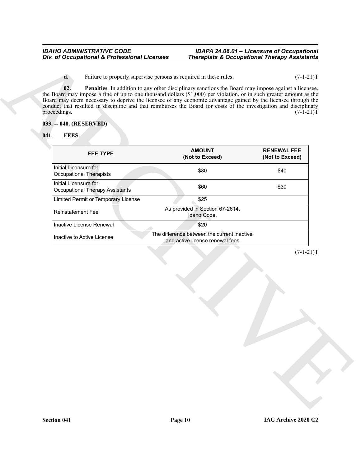### <span id="page-9-3"></span><span id="page-9-2"></span><span id="page-9-1"></span><span id="page-9-0"></span>**033. -- 040. (RESERVED)**

| FEES.<br>041.                                            |                                                                                |                                       |
|----------------------------------------------------------|--------------------------------------------------------------------------------|---------------------------------------|
| <b>FEE TYPE</b>                                          | <b>AMOUNT</b><br>(Not to Exceed)                                               | <b>RENEWAL FEE</b><br>(Not to Exceed) |
| Initial Licensure for<br><b>Occupational Therapists</b>  | \$80                                                                           | \$40                                  |
| Initial Licensure for<br>Occupational Therapy Assistants | \$60                                                                           | \$30                                  |
| Limited Permit or Temporary License                      | \$25                                                                           |                                       |
| <b>Reinstatement Fee</b>                                 | As provided in Section 67-2614,<br>Idaho Code.                                 |                                       |
| Inactive License Renewal                                 | \$20                                                                           |                                       |
| Inactive to Active License                               | The difference between the current inactive<br>and active license renewal fees |                                       |
|                                                          |                                                                                | $(7-1-21)T$                           |